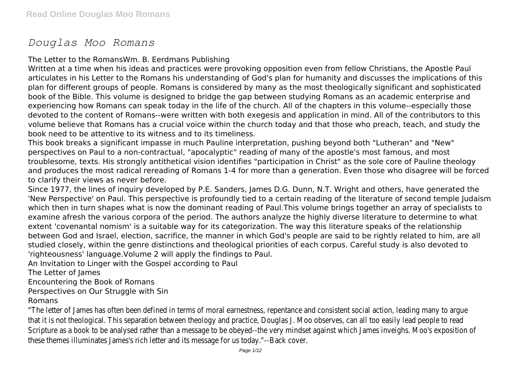# *Douglas Moo Romans*

The Letter to the RomansWm. B. Eerdmans Publishing

Written at a time when his ideas and practices were provoking opposition even from fellow Christians, the Apostle Paul articulates in his Letter to the Romans his understanding of God's plan for humanity and discusses the implications of this plan for different groups of people. Romans is considered by many as the most theologically significant and sophisticated book of the Bible. This volume is designed to bridge the gap between studying Romans as an academic enterprise and experiencing how Romans can speak today in the life of the church. All of the chapters in this volume--especially those devoted to the content of Romans--were written with both exegesis and application in mind. All of the contributors to this volume believe that Romans has a crucial voice within the church today and that those who preach, teach, and study the book need to be attentive to its witness and to its timeliness.

This book breaks a significant impasse in much Pauline interpretation, pushing beyond both "Lutheran" and "New" perspectives on Paul to a non-contractual, "apocalyptic" reading of many of the apostle's most famous, and most troublesome, texts. His strongly antithetical vision identifies "participation in Christ" as the sole core of Pauline theology and produces the most radical rereading of Romans 1-4 for more than a generation. Even those who disagree will be forced to clarify their views as never before.

Since 1977, the lines of inquiry developed by P.E. Sanders, James D.G. Dunn, N.T. Wright and others, have generated the 'New Perspective' on Paul. This perspective is profoundly tied to a certain reading of the literature of second temple Judaism which then in turn shapes what is now the dominant reading of Paul.This volume brings together an array of specialists to examine afresh the various corpora of the period. The authors analyze the highly diverse literature to determine to what extent 'covenantal nomism' is a suitable way for its categorization. The way this literature speaks of the relationship between God and Israel, election, sacrifice, the manner in which God's people are said to be rightly related to him, are all studied closely, within the genre distinctions and theological priorities of each corpus. Careful study is also devoted to 'righteousness' language.Volume 2 will apply the findings to Paul.

An Invitation to Linger with the Gospel according to Paul

The Letter of James

Encountering the Book of Romans

Perspectives on Our Struggle with Sin

## Romans

"The letter of James has often been defined in terms of moral earnestness, repentance and consistent social action, leading many to that it is not theological. This separation between theology and practice, Douglas J. Moo observes, can all too easily lead people to r Scripture as a book to be analysed rather than a message to be obeyed--the very mindset against which James inveighs. Moo's expo these themes illuminates James's rich letter and its message for us today."--Back cover.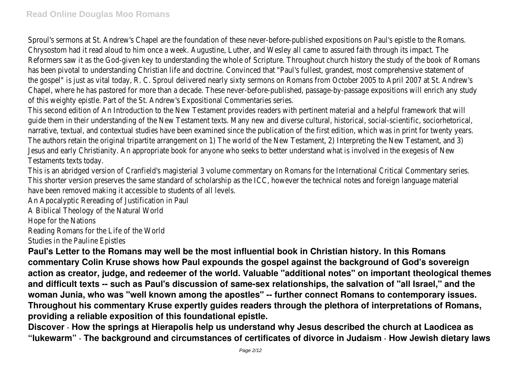Sproul's sermons at St. Andrew's Chapel are the foundation of these never-before-published expositions on Paul's epistle to the Rom Chrysostom had it read aloud to him once a week. Augustine, Luther, and Wesley all came to assured faith through its impact. The Reformers saw it as the God-given key to understanding the whole of Scripture. Throughout church history the study of the book of has been pivotal to understanding Christian life and doctrine. Convinced that "Paul's fullest, grandest, most comprehensive statemen the gospel" is just as vital today, R. C. Sproul delivered nearly sixty sermons on Romans from October 2005 to April 2007 at St. And Chapel, where he has pastored for more than a decade. These never-before-published, passage-by-passage expositions will enrich an of this weighty epistle. Part of the St. Andrew's Expositional Commentaries series.

This second edition of An Introduction to the New Testament provides readers with pertinent material and a helpful framework that guide them in their understanding of the New Testament texts. Many new and diverse cultural, historical, social-scientific, sociorhete narrative, textual, and contextual studies have been examined since the publication of the first edition, which was in print for twent The authors retain the original tripartite arrangement on 1) The world of the New Testament, 2) Interpreting the New Testament, and 3) Jesus and early Christianity. An appropriate book for anyone who seeks to better understand what is involved in the exegesis of New Testaments texts today.

This is an abridged version of Cranfield's magisterial 3 volume commentary on Romans for the International Critical Commentary seri This shorter version preserves the same standard of scholarship as the ICC, however the technical notes and foreign language mate have been removed making it accessible to students of all levels.

An Apocalyptic Rereading of Justification in Paul

A Biblical Theology of the Natural World

Hope for the Nations

Reading Romans for the Life of the World

Studies in the Pauline Epistles

**Paul's Letter to the Romans may well be the most influential book in Christian history. In this Romans commentary Colin Kruse shows how Paul expounds the gospel against the background of God's sovereign action as creator, judge, and redeemer of the world. Valuable "additional notes" on important theological themes and difficult texts -- such as Paul's discussion of same-sex relationships, the salvation of "all Israel," and the woman Junia, who was "well known among the apostles" -- further connect Romans to contemporary issues. Throughout his commentary Kruse expertly guides readers through the plethora of interpretations of Romans, providing a reliable exposition of this foundational epistle.**

**Discover · How the springs at Hierapolis help us understand why Jesus described the church at Laodicea as "lukewarm" · The background and circumstances of certificates of divorce in Judaism · How Jewish dietary laws**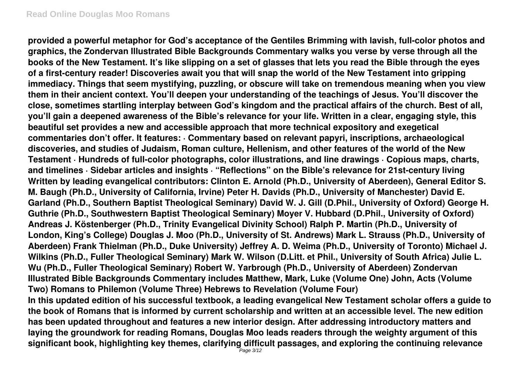**provided a powerful metaphor for God's acceptance of the Gentiles Brimming with lavish, full-color photos and graphics, the Zondervan Illustrated Bible Backgrounds Commentary walks you verse by verse through all the books of the New Testament. It's like slipping on a set of glasses that lets you read the Bible through the eyes of a first-century reader! Discoveries await you that will snap the world of the New Testament into gripping immediacy. Things that seem mystifying, puzzling, or obscure will take on tremendous meaning when you view them in their ancient context. You'll deepen your understanding of the teachings of Jesus. You'll discover the close, sometimes startling interplay between God's kingdom and the practical affairs of the church. Best of all, you'll gain a deepened awareness of the Bible's relevance for your life. Written in a clear, engaging style, this beautiful set provides a new and accessible approach that more technical expository and exegetical commentaries don't offer. It features: · Commentary based on relevant papyri, inscriptions, archaeological discoveries, and studies of Judaism, Roman culture, Hellenism, and other features of the world of the New Testament · Hundreds of full-color photographs, color illustrations, and line drawings · Copious maps, charts, and timelines · Sidebar articles and insights · "Reflections" on the Bible's relevance for 21st-century living Written by leading evangelical contributors: Clinton E. Arnold (Ph.D., University of Aberdeen), General Editor S. M. Baugh (Ph.D., University of California, Irvine) Peter H. Davids (Ph.D., University of Manchester) David E. Garland (Ph.D., Southern Baptist Theological Seminary) David W. J. Gill (D.Phil., University of Oxford) George H. Guthrie (Ph.D., Southwestern Baptist Theological Seminary) Moyer V. Hubbard (D.Phil., University of Oxford) Andreas J. Köstenberger (Ph.D., Trinity Evangelical Divinity School) Ralph P. Martin (Ph.D., University of London, King's College) Douglas J. Moo (Ph.D., University of St. Andrews) Mark L. Strauss (Ph.D., University of Aberdeen) Frank Thielman (Ph.D., Duke University) Jeffrey A. D. Weima (Ph.D., University of Toronto) Michael J. Wilkins (Ph.D., Fuller Theological Seminary) Mark W. Wilson (D.Litt. et Phil., University of South Africa) Julie L. Wu (Ph.D., Fuller Theological Seminary) Robert W. Yarbrough (Ph.D., University of Aberdeen) Zondervan Illustrated Bible Backgrounds Commentary includes Matthew, Mark, Luke (Volume One) John, Acts (Volume Two) Romans to Philemon (Volume Three) Hebrews to Revelation (Volume Four) In this updated edition of his successful textbook, a leading evangelical New Testament scholar offers a guide to the book of Romans that is informed by current scholarship and written at an accessible level. The new edition**

**has been updated throughout and features a new interior design. After addressing introductory matters and laying the groundwork for reading Romans, Douglas Moo leads readers through the weighty argument of this significant book, highlighting key themes, clarifying difficult passages, and exploring the continuing relevance**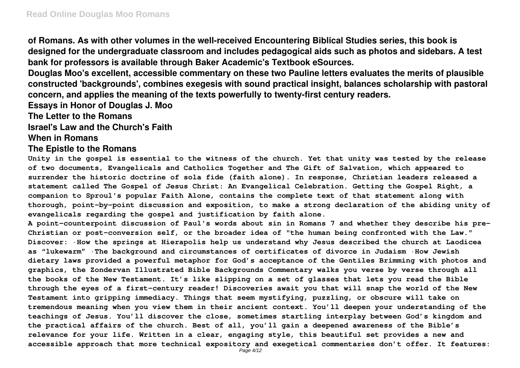**of Romans. As with other volumes in the well-received Encountering Biblical Studies series, this book is designed for the undergraduate classroom and includes pedagogical aids such as photos and sidebars. A test bank for professors is available through Baker Academic's Textbook eSources.**

**Douglas Moo's excellent, accessible commentary on these two Pauline letters evaluates the merits of plausible constructed 'backgrounds', combines exegesis with sound practical insight, balances scholarship with pastoral concern, and applies the meaning of the texts powerfully to twenty-first century readers.**

**Essays in Honor of Douglas J. Moo**

**The Letter to the Romans**

**Israel's Law and the Church's Faith**

### **When in Romans**

### **The Epistle to the Romans**

**Unity in the gospel is essential to the witness of the church. Yet that unity was tested by the release of two documents, Evangelicals and Catholics Together and The Gift of Salvation, which appeared to surrender the historic doctrine of sola fide (faith alone). In response, Christian leaders released a statement called The Gospel of Jesus Christ: An Evangelical Celebration. Getting the Gospel Right, a companion to Sproul's popular Faith Alone, contains the complete text of that statement along with thorough, point-by-point discussion and exposition, to make a strong declaration of the abiding unity of evangelicals regarding the gospel and justification by faith alone.**

**A point-counterpoint discussion of Paul's words about sin in Romans 7 and whether they describe his pre-Christian or post-conversion self, or the broader idea of "the human being confronted with the Law." Discover: ·How the springs at Hierapolis help us understand why Jesus described the church at Laodicea as "lukewarm" ·The background and circumstances of certificates of divorce in Judaism ·How Jewish dietary laws provided a powerful metaphor for God's acceptance of the Gentiles Brimming with photos and graphics, the Zondervan Illustrated Bible Backgrounds Commentary walks you verse by verse through all the books of the New Testament. It's like slipping on a set of glasses that lets you read the Bible through the eyes of a first-century reader! Discoveries await you that will snap the world of the New Testament into gripping immediacy. Things that seem mystifying, puzzling, or obscure will take on tremendous meaning when you view them in their ancient context. You'll deepen your understanding of the teachings of Jesus. You'll discover the close, sometimes startling interplay between God's kingdom and the practical affairs of the church. Best of all, you'll gain a deepened awareness of the Bible's relevance for your life. Written in a clear, engaging style, this beautiful set provides a new and accessible approach that more technical expository and exegetical commentaries don't offer. It features:**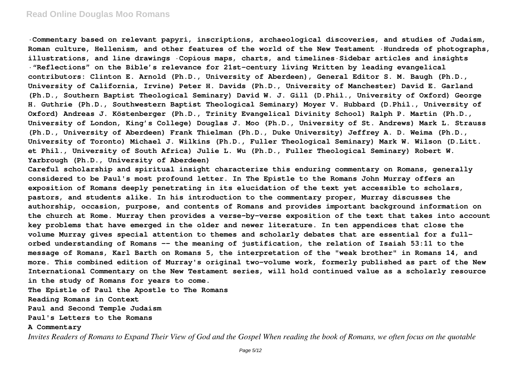### **Read Online Douglas Moo Romans**

**·Commentary based on relevant papyri, inscriptions, archaeological discoveries, and studies of Judaism, Roman culture, Hellenism, and other features of the world of the New Testament ·Hundreds of photographs, illustrations, and line drawings ·Copious maps, charts, and timelines·Sidebar articles and insights ·"Reflections" on the Bible's relevance for 21st-century living Written by leading evangelical contributors: Clinton E. Arnold (Ph.D., University of Aberdeen), General Editor S. M. Baugh (Ph.D., University of California, Irvine) Peter H. Davids (Ph.D., University of Manchester) David E. Garland (Ph.D., Southern Baptist Theological Seminary) David W. J. Gill (D.Phil., University of Oxford) George H. Guthrie (Ph.D., Southwestern Baptist Theological Seminary) Moyer V. Hubbard (D.Phil., University of Oxford) Andreas J. Köstenberger (Ph.D., Trinity Evangelical Divinity School) Ralph P. Martin (Ph.D., University of London, King's College) Douglas J. Moo (Ph.D., University of St. Andrews) Mark L. Strauss (Ph.D., University of Aberdeen) Frank Thielman (Ph.D., Duke University) Jeffrey A. D. Weima (Ph.D., University of Toronto) Michael J. Wilkins (Ph.D., Fuller Theological Seminary) Mark W. Wilson (D.Litt. et Phil., University of South Africa) Julie L. Wu (Ph.D., Fuller Theological Seminary) Robert W. Yarbrough (Ph.D., University of Aberdeen)**

**Careful scholarship and spiritual insight characterize this enduring commentary on Romans, generally considered to be Paul's most profound letter. In The Epistle to the Romans John Murray offers an exposition of Romans deeply penetrating in its elucidation of the text yet accessible to scholars, pastors, and students alike. In his introduction to the commentary proper, Murray discusses the authorship, occasion, purpose, and contents of Romans and provides important background information on the church at Rome. Murray then provides a verse-by-verse exposition of the text that takes into account key problems that have emerged in the older and newer literature. In ten appendices that close the volume Murray gives special attention to themes and scholarly debates that are essential for a fullorbed understanding of Romans -- the meaning of justification, the relation of Isaiah 53:11 to the message of Romans, Karl Barth on Romans 5, the interpretation of the "weak brother" in Romans 14, and more. This combined edition of Murray's original two-volume work, formerly published as part of the New International Commentary on the New Testament series, will hold continued value as a scholarly resource in the study of Romans for years to come.**

**The Epistle of Paul the Apostle to The Romans**

**Reading Romans in Context**

**Paul and Second Temple Judaism**

**Paul's Letters to the Romans**

#### **A Commentary**

*Invites Readers of Romans to Expand Their View of God and the Gospel When reading the book of Romans, we often focus on the quotable*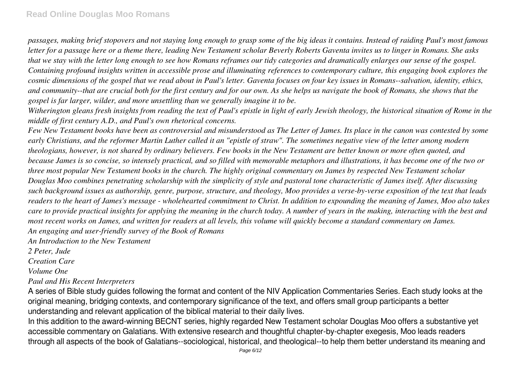*passages, making brief stopovers and not staying long enough to grasp some of the big ideas it contains. Instead of raiding Paul's most famous letter for a passage here or a theme there, leading New Testament scholar Beverly Roberts Gaventa invites us to linger in Romans. She asks that we stay with the letter long enough to see how Romans reframes our tidy categories and dramatically enlarges our sense of the gospel. Containing profound insights written in accessible prose and illuminating references to contemporary culture, this engaging book explores the cosmic dimensions of the gospel that we read about in Paul's letter. Gaventa focuses on four key issues in Romans--salvation, identity, ethics, and community--that are crucial both for the first century and for our own. As she helps us navigate the book of Romans, she shows that the gospel is far larger, wilder, and more unsettling than we generally imagine it to be.*

*Witherington gleans fresh insights from reading the text of Paul's epistle in light of early Jewish theology, the historical situation of Rome in the middle of first century A.D., and Paul's own rhetorical concerns.*

*Few New Testament books have been as controversial and misunderstood as The Letter of James. Its place in the canon was contested by some early Christians, and the reformer Martin Luther called it an "epistle of straw". The sometimes negative view of the letter among modern theologians, however, is not shared by ordinary believers. Few books in the New Testament are better known or more often quoted, and because James is so concise, so intensely practical, and so filled with memorable metaphors and illustrations, it has become one of the two or three most popular New Testament books in the church. The highly original commentary on James by respected New Testament scholar Douglas Moo combines penetrating scholarship with the simplicity of style and pastoral tone characteristic of James itself. After discussing such background issues as authorship, genre, purpose, structure, and theology, Moo provides a verse-by-verse exposition of the text that leads readers to the heart of James's message - wholehearted commitment to Christ. In addition to expounding the meaning of James, Moo also takes care to provide practical insights for applying the meaning in the church today. A number of years in the making, interacting with the best and most recent works on James, and written for readers at all levels, this volume will quickly become a standard commentary on James. An engaging and user-friendly survey of the Book of Romans*

*An Introduction to the New Testament*

*2 Peter, Jude*

*Creation Care*

*Volume One*

*Paul and His Recent Interpreters*

A series of Bible study guides following the format and content of the NIV Application Commentaries Series. Each study looks at the original meaning, bridging contexts, and contemporary significance of the text, and offers small group participants a better understanding and relevant application of the biblical material to their daily lives.

In this addition to the award-winning BECNT series, highly regarded New Testament scholar Douglas Moo offers a substantive yet accessible commentary on Galatians. With extensive research and thoughtful chapter-by-chapter exegesis, Moo leads readers through all aspects of the book of Galatians--sociological, historical, and theological--to help them better understand its meaning and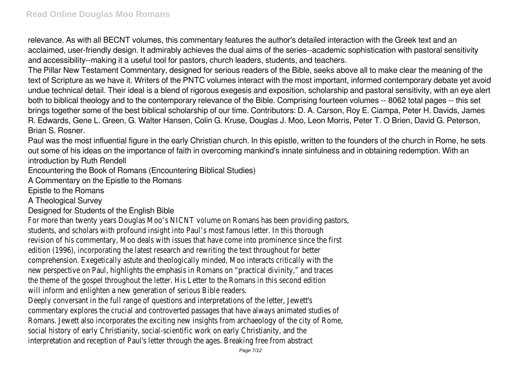relevance. As with all BECNT volumes, this commentary features the author's detailed interaction with the Greek text and an acclaimed, user-friendly design. It admirably achieves the dual aims of the series--academic sophistication with pastoral sensitivity and accessibility--making it a useful tool for pastors, church leaders, students, and teachers.

The Pillar New Testament Commentary, designed for serious readers of the Bible, seeks above all to make clear the meaning of the text of Scripture as we have it. Writers of the PNTC volumes interact with the most important, informed contemporary debate yet avoid undue technical detail. Their ideal is a blend of rigorous exegesis and exposition, scholarship and pastoral sensitivity, with an eye alert both to biblical theology and to the contemporary relevance of the Bible. Comprising fourteen volumes -- 8062 total pages -- this set brings together some of the best biblical scholarship of our time. Contributors: D. A. Carson, Roy E. Ciampa, Peter H. Davids, James R. Edwards, Gene L. Green, G. Walter Hansen, Colin G. Kruse, Douglas J. Moo, Leon Morris, Peter T. O Brien, David G. Peterson, Brian S. Rosner.

Paul was the most influential figure in the early Christian church. In this epistle, written to the founders of the church in Rome, he sets out some of his ideas on the importance of faith in overcoming mankind's innate sinfulness and in obtaining redemption. With an introduction by Ruth Rendell

Encountering the Book of Romans (Encountering Biblical Studies)

A Commentary on the Epistle to the Romans

Epistle to the Romans

A Theological Survey

Designed for Students of the English Bible

For more than twenty years Douglas Moo's NICNT volume on Romans has been providing pastors, students, and scholars with profound insight into Paul's most famous letter. In this thorough revision of his commentary, Moo deals with issues that have come into prominence since the first edition (1996), incorporating the latest research and rewriting the text throughout for better comprehension. Exegetically astute and theologically minded, Moo interacts critically with the new perspective on Paul, highlights the emphasis in Romans on "practical divinity," and traces the theme of the gospel throughout the letter. His Letter to the Romans in this second edition will inform and enlighten a new generation of serious Bible readers.

Deeply conversant in the full range of questions and interpretations of the letter, Jewett's commentary explores the crucial and controverted passages that have always animated studies of Romans. Jewett also incorporates the exciting new insights from archaeology of the city of Rome, social history of early Christianity, social-scientific work on early Christianity, and the interpretation and reception of Paul's letter through the ages. Breaking free from abstract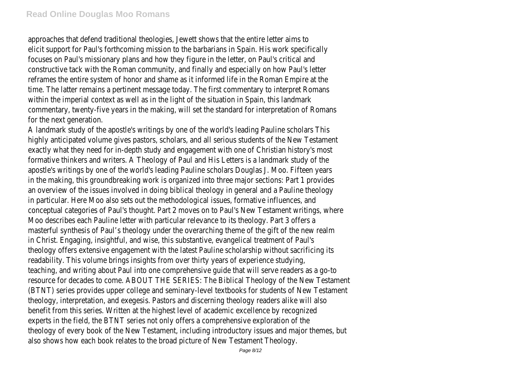approaches that defend traditional theologies, Jewett shows that the entire letter aims to elicit support for Paul's forthcoming mission to the barbarians in Spain. His work specifically focuses on Paul's missionary plans and how they figure in the letter, on Paul's critical and constructive tack with the Roman community, and finally and especially on how Paul's letter reframes the entire system of honor and shame as it informed life in the Roman Empire at the time. The latter remains a pertinent message today. The first commentary to interpret Romans within the imperial context as well as in the light of the situation in Spain, this landmark commentary, twenty-five years in the making, will set the standard for interpretation of Romans for the next generation.

A landmark study of the apostle's writings by one of the world's leading Pauline scholars This highly anticipated volume gives pastors, scholars, and all serious students of the New Testament exactly what they need for in-depth study and engagement with one of Christian history's most formative thinkers and writers. A Theology of Paul and His Letters is a landmark study of the apostle's writings by one of the world's leading Pauline scholars Douglas J. Moo. Fifteen years in the making, this groundbreaking work is organized into three major sections: Part 1 provides an overview of the issues involved in doing biblical theology in general and a Pauline theology in particular. Here Moo also sets out the methodological issues, formative influences, and conceptual categories of Paul's thought. Part 2 moves on to Paul's New Testament writings, where Moo describes each Pauline letter with particular relevance to its theology. Part 3 offers a masterful synthesis of Paul's theology under the overarching theme of the gift of the new realm in Christ. Engaging, insightful, and wise, this substantive, evangelical treatment of Paul's theology offers extensive engagement with the latest Pauline scholarship without sacrificing its readability. This volume brings insights from over thirty years of experience studying, teaching, and writing about Paul into one comprehensive guide that will serve readers as a go-to resource for decades to come. ABOUT THE SERIES: The Biblical Theology of the New Testament (BTNT) series provides upper college and seminary-level textbooks for students of New Testament theology, interpretation, and exegesis. Pastors and discerning theology readers alike will also benefit from this series. Written at the highest level of academic excellence by recognized experts in the field, the BTNT series not only offers a comprehensive exploration of the theology of every book of the New Testament, including introductory issues and major themes, but also shows how each book relates to the broad picture of New Testament Theology.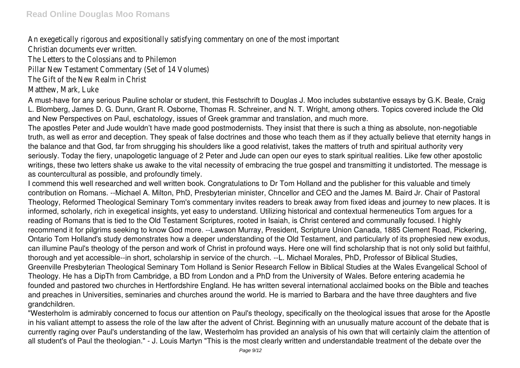An exegetically rigorous and expositionally satisfying commentary on one of the most important Christian documents ever written.

The Letters to the Colossians and to Philemon

Pillar New Testament Commentary (Set of 14 Volumes)

The Gift of the New Realm in Christ

## Matthew, Mark, Luke

A must-have for any serious Pauline scholar or student, this Festschrift to Douglas J. Moo includes substantive essays by G.K. Beale, Craig L. Blomberg, James D. G. Dunn, Grant R. Osborne, Thomas R. Schreiner, and N. T. Wright, among others. Topics covered include the Old and New Perspectives on Paul, eschatology, issues of Greek grammar and translation, and much more.

The apostles Peter and Jude wouldn't have made good postmodernists. They insist that there is such a thing as absolute, non-negotiable truth, as well as error and deception. They speak of false doctrines and those who teach them as if they actually believe that eternity hangs in the balance and that God, far from shrugging his shoulders like a good relativist, takes the matters of truth and spiritual authority very seriously. Today the fiery, unapologetic language of 2 Peter and Jude can open our eyes to stark spiritual realities. Like few other apostolic writings, these two letters shake us awake to the vital necessity of embracing the true gospel and transmitting it undistorted. The message is as countercultural as possible, and profoundly timely.

I commend this well researched and well written book. Congratulations to Dr Tom Holland and the publisher for this valuable and timely contribution on Romans. --Michael A. Milton, PhD, Presbyterian minister, Chncellor and CEO and the James M. Baird Jr. Chair of Pastoral Theology, Reformed Theological Seminary Tom's commentary invites readers to break away from fixed ideas and journey to new places. It is informed, scholarly, rich in exegetical insights, yet easy to understand. Utilizing historical and contextual hermeneutics Tom argues for a reading of Romans that is tied to the Old Testament Scriptures, rooted in Isaiah, is Christ centered and communally focused. I highly recommend it for pilgrims seeking to know God more. --Lawson Murray, President, Scripture Union Canada, 1885 Clement Road, Pickering, Ontario Tom Holland's study demonstrates how a deeper understanding of the Old Testament, and particularly of its prophesied new exodus, can illumine Paul's theology of the person and work of Christ in profound ways. Here one will find scholarship that is not only solid but faithful, thorough and yet accessible--in short, scholarship in service of the church. --L. Michael Morales, PhD, Professor of Biblical Studies, Greenville Presbyterian Theological Seminary Tom Holland is Senior Research Fellow in Biblical Studies at the Wales Evangelical School of Theology. He has a DipTh from Cambridge, a BD from London and a PhD from the University of Wales. Before entering academia he founded and pastored two churches in Hertfordshire England. He has written several international acclaimed books on the Bible and teaches and preaches in Universities, seminaries and churches around the world. He is married to Barbara and the have three daughters and five grandchildren.

"Westerholm is admirably concerned to focus our attention on Paul's theology, specifically on the theological issues that arose for the Apostle in his valiant attempt to assess the role of the law after the advent of Christ. Beginning with an unusually mature account of the debate that is currently raging over Paul's understanding of the law, Westerholm has provided an analysis of his own that will certainly claim the attention of all student's of Paul the theologian." - J. Louis Martyn "This is the most clearly written and understandable treatment of the debate over the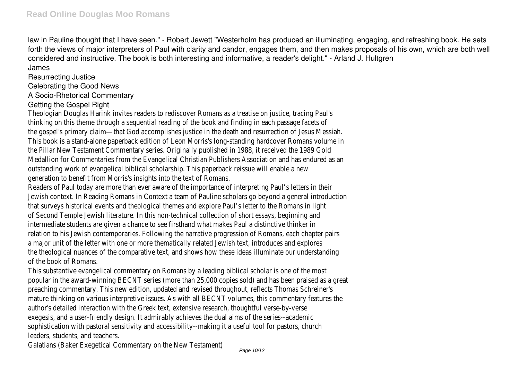law in Pauline thought that I have seen." - Robert Jewett "Westerholm has produced an illuminating, engaging, and refreshing book. He sets forth the views of major interpreters of Paul with clarity and candor, engages them, and then makes proposals of his own, which are both well considered and instructive. The book is both interesting and informative, a reader's delight." - Arland J. Hultgren James

# Resurrecting Justice

Celebrating the Good News

## A Socio-Rhetorical Commentary

# Getting the Gospel Right

Theologian Douglas Harink invites readers to rediscover Romans as a treatise on justice, tracing Paul's thinking on this theme through a sequential reading of the book and finding in each passage facets of the gospel's primary claim—that God accomplishes justice in the death and resurrection of Jesus Messiah. This book is a stand-alone paperback edition of Leon Morris's long-standing hardcover Romans volume in the Pillar New Testament Commentary series. Originally published in 1988, it received the 1989 Gold Medallion for Commentaries from the Evangelical Christian Publishers Association and has endured as an outstanding work of evangelical biblical scholarship. This paperback reissue will enable a new generation to benefit from Morris's insights into the text of Romans.

Readers of Paul today are more than ever aware of the importance of interpreting Paul's letters in their Jewish context. In Reading Romans in Context a team of Pauline scholars go beyond a general introduction that surveys historical events and theological themes and explore Paul's letter to the Romans in light of Second Temple Jewish literature. In this non-technical collection of short essays, beginning and intermediate students are given a chance to see firsthand what makes Paul a distinctive thinker in relation to his Jewish contemporaries. Following the narrative progression of Romans, each chapter pairs a major unit of the letter with one or more thematically related Jewish text, introduces and explores the theological nuances of the comparative text, and shows how these ideas illuminate our understanding of the book of Romans.

This substantive evangelical commentary on Romans by a leading biblical scholar is one of the most popular in the award-winning BECNT series (more than 25,000 copies sold) and has been praised as a great preaching commentary. This new edition, updated and revised throughout, reflects Thomas Schreiner's mature thinking on various interpretive issues. As with all BECNT volumes, this commentary features the author's detailed interaction with the Greek text, extensive research, thoughtful verse-by-verse exegesis, and a user-friendly design. It admirably achieves the dual aims of the series--academic sophistication with pastoral sensitivity and accessibility--making it a useful tool for pastors, church leaders, students, and teachers.

Galatians (Baker Exegetical Commentary on the New Testament) Page 10/12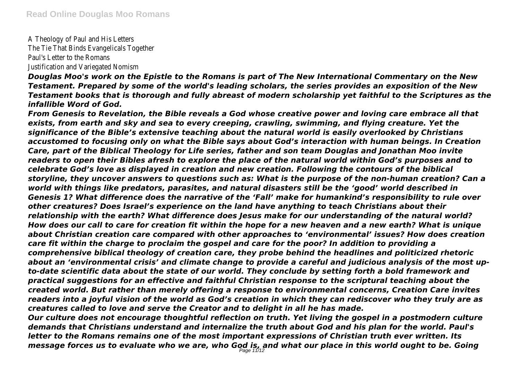A Theology of Paul and His Letters The Tie That Binds Evangelicals Together Paul's Letter to the Romans Justification and Variegated Nomism

*Douglas Moo's work on the Epistle to the Romans is part of The New International Commentary on the New Testament. Prepared by some of the world's leading scholars, the series provides an exposition of the New Testament books that is thorough and fully abreast of modern scholarship yet faithful to the Scriptures as the infallible Word of God.*

*From Genesis to Revelation, the Bible reveals a God whose creative power and loving care embrace all that exists, from earth and sky and sea to every creeping, crawling, swimming, and flying creature. Yet the significance of the Bible's extensive teaching about the natural world is easily overlooked by Christians accustomed to focusing only on what the Bible says about God's interaction with human beings. In Creation Care, part of the Biblical Theology for Life series, father and son team Douglas and Jonathan Moo invite readers to open their Bibles afresh to explore the place of the natural world within God's purposes and to celebrate God's love as displayed in creation and new creation. Following the contours of the biblical storyline, they uncover answers to questions such as: What is the purpose of the non-human creation? Can a world with things like predators, parasites, and natural disasters still be the 'good' world described in Genesis 1? What difference does the narrative of the 'Fall' make for humankind's responsibility to rule over other creatures? Does Israel's experience on the land have anything to teach Christians about their relationship with the earth? What difference does Jesus make for our understanding of the natural world? How does our call to care for creation fit within the hope for a new heaven and a new earth? What is unique about Christian creation care compared with other approaches to 'environmental' issues? How does creation care fit within the charge to proclaim the gospel and care for the poor? In addition to providing a comprehensive biblical theology of creation care, they probe behind the headlines and politicized rhetoric about an 'environmental crisis' and climate change to provide a careful and judicious analysis of the most upto-date scientific data about the state of our world. They conclude by setting forth a bold framework and practical suggestions for an effective and faithful Christian response to the scriptural teaching about the created world. But rather than merely offering a response to environmental concerns, Creation Care invites readers into a joyful vision of the world as God's creation in which they can rediscover who they truly are as creatures called to love and serve the Creator and to delight in all he has made.*

*Our culture does not encourage thoughtful reflection on truth. Yet living the gospel in a postmodern culture demands that Christians understand and internalize the truth about God and his plan for the world. Paul's letter to the Romans remains one of the most important expressions of Christian truth ever written. Its message forces us to evaluate who we are, who God is, and what our place in this world ought to be. Going*